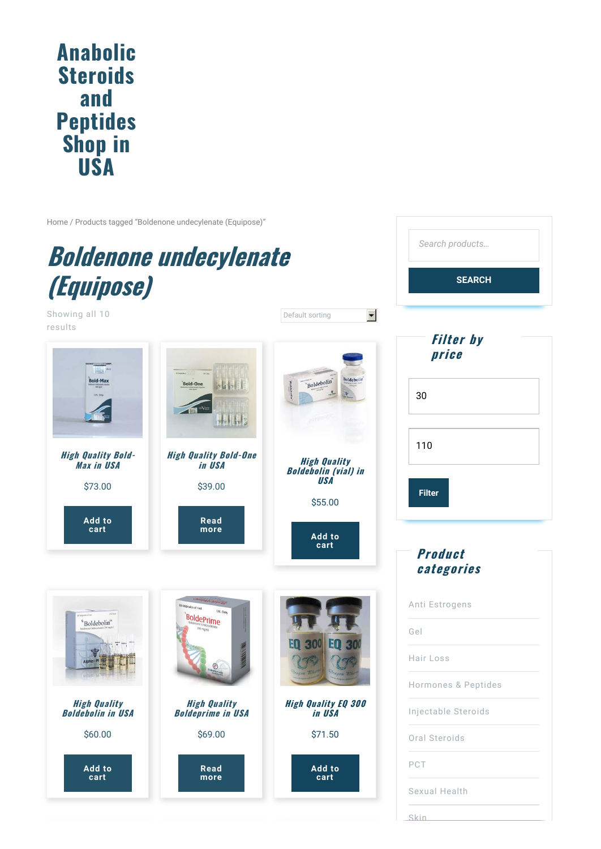## **Anabolic Steroids and [Peptides](http://buy-steroids.store/) Shop in USA**

[Home](http://buy-steroids.store) / Products tagged "Boldenone undecylenate (Equipose)"



Showing all 10



*Search products…*

**SEARCH**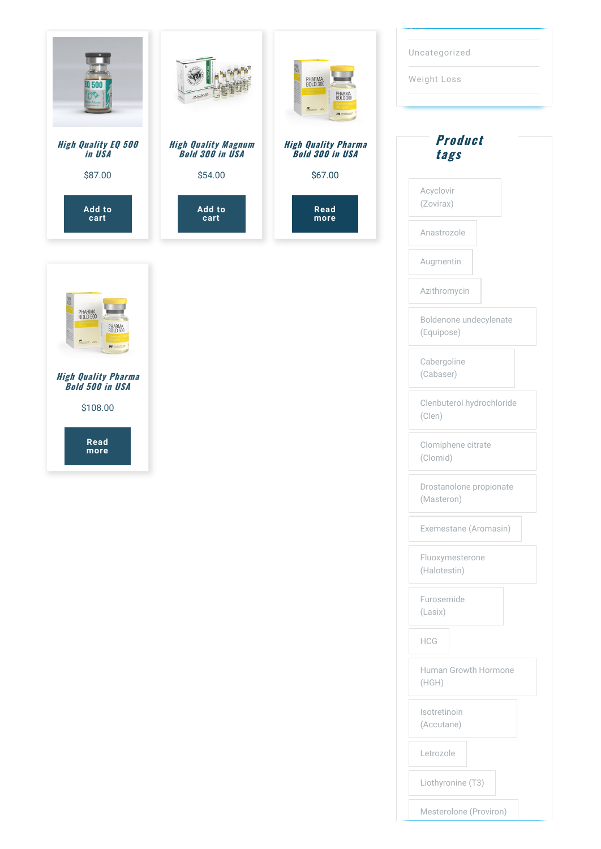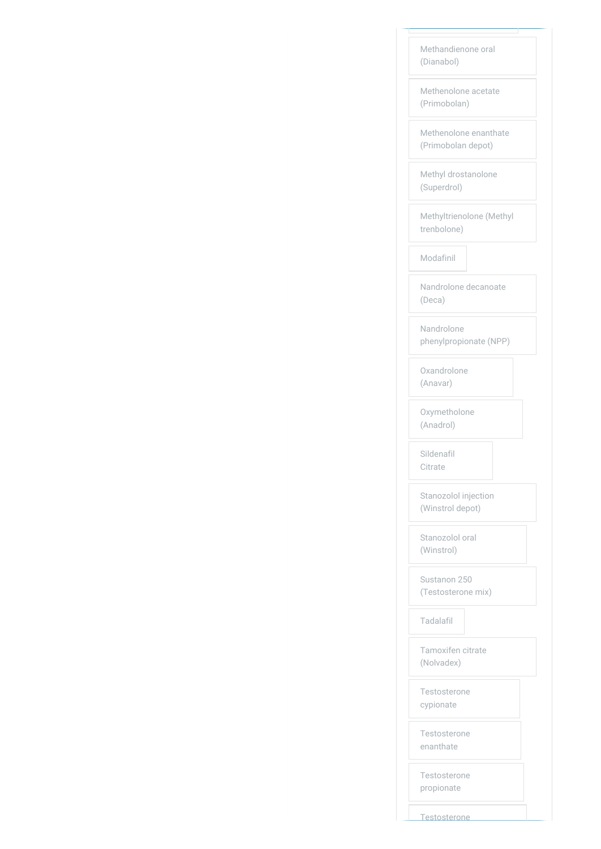| Methandienone oral<br>(Dianabol)            |
|---------------------------------------------|
| Methenolone acetate<br>(Primobolan)         |
| Methenolone enanthate<br>(Primobolan depot) |
| Methyl drostanolone<br>(Superdrol)          |
| Methyltrienolone (Methyl<br>trenbolone)     |
| Modafinil                                   |
| Nandrolone decanoate<br>(Deca)              |
| Nandrolone<br>phenylpropionate (NPP)        |
| Oxandrolone<br>(Anavar)                     |
| Oxymetholone<br>(Anadrol)                   |
| Sildenafil<br>Citrate                       |
| Stanozolol injection<br>(Winstrol depot)    |
| Stanozolol oral<br>(Winstrol)               |
| Sustanon 250<br>(Testosterone mix)          |
| Tadalafil                                   |
| Tamoxifen citrate<br>(Nolvadex)             |
| Testosterone<br>cypionate                   |
| Testosterone<br>enanthate                   |
| Testosterone<br>propionate                  |

**Testosterone**